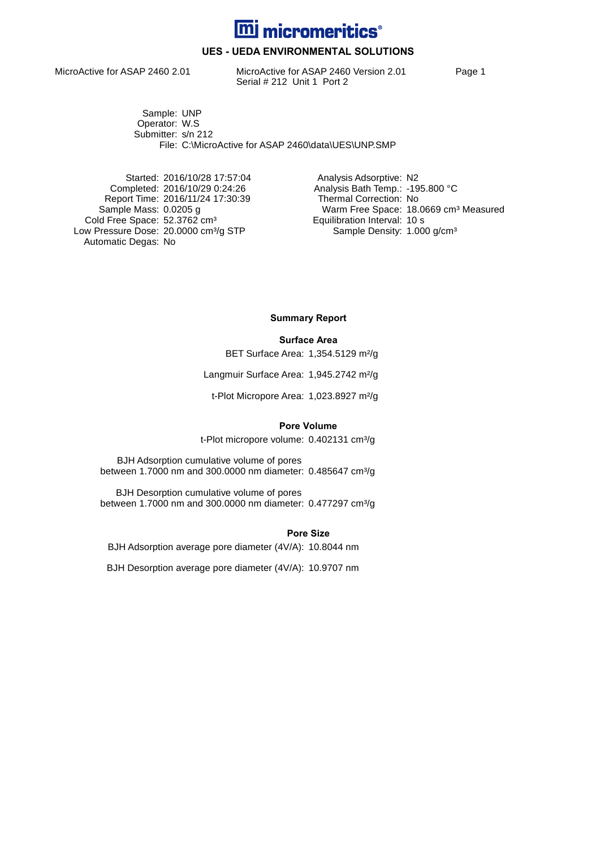

## **UES - UEDA ENVIRONMENTAL SOLUTIONS**

MicroActive for ASAP 2460 2.01 MicroActive for ASAP 2460 Version 2.01 Page 1 Serial # 212 Unit 1 Port 2

Sample: UNP Operator: W.S Submitter: s/n 212 File: C:\MicroActive for ASAP 2460\data\UES\UNP.SMP

Started: 2016/10/28 17:57:04 Analysis Adsorptive: N2 Report Time: 2016/11/24 17:30:39<br>Sample Mass: 0.0205 g Cold Free Space: 52.3762 cm<sup>3</sup> Equilibration Interval: 10 s Low Pressure Dose: 20.0000 cm<sup>3</sup>/g STP Sample Density: 1.000 g/cm<sup>3</sup> Automatic Degas: No

Completed: 2016/10/29 0:24:26 <br>Report Time: 2016/11/24 17:30:39 Thermal Correction: No Warm Free Space: 18.0669 cm<sup>3</sup> Measured<br>Equilibration Interval: 10 s

**Summary Report**

#### **Surface Area**

BET Surface Area: 1,354.5129 m²/g

Langmuir Surface Area: 1,945.2742 m<sup>2</sup>/g

t-Plot Micropore Area: 1,023.8927 m²/g

#### **Pore Volume**

t-Plot micropore volume: 0.402131 cm<sup>3</sup>/g

BJH Adsorption cumulative volume of pores between 1.7000 nm and 300.0000 nm diameter: 0.485647 cm<sup>3</sup>/g

BJH Desorption cumulative volume of pores between 1.7000 nm and 300.0000 nm diameter: 0.477297 cm<sup>3</sup>/g

#### **Pore Size**

BJH Adsorption average pore diameter (4V/A): 10.8044 nm

BJH Desorption average pore diameter (4V/A): 10.9707 nm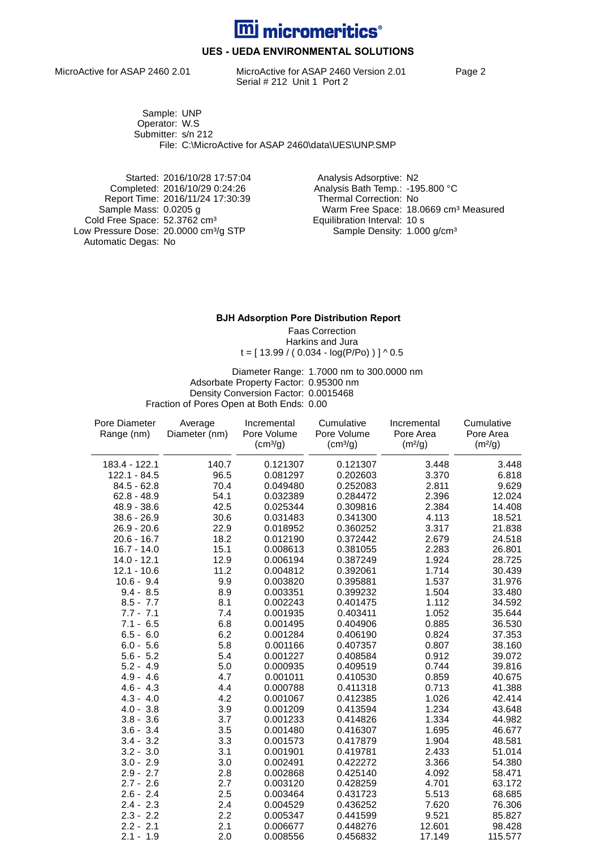

## **UES - UEDA ENVIRONMENTAL SOLUTIONS**

MicroActive for ASAP 2460 2.01 MicroActive for ASAP 2460 Version 2.01 Page 2 Serial # 212 Unit 1 Port 2

Sample: UNP Operator: W.S Submitter: s/n 212 File: C:\MicroActive for ASAP 2460\data\UES\UNP.SMP

Started: 2016/10/28 17:57:04 Analysis Adsorptive: N2 Report Time: 2016/11/24 17:30:39 Cold Free Space: 52.3762 cm<sup>3</sup> Equilibration Interval: 10 s Low Pressure Dose: 20.0000 cm<sup>3</sup>/g STP Sample Density: 1.000 g/cm<sup>3</sup> Automatic Degas: No

Completed: 2016/10/29 0:24:26 <br>Report Time: 2016/11/24 17:30:39 Thermal Correction: No Warm Free Space: 18.0669 cm<sup>3</sup> Measured<br>Equilibration Interval: 10 s

### **BJH Adsorption Pore Distribution Report**

Faas Correction Harkins and Jura  $t = [ 13.99 / ( 0.034 - log(P/P<sub>O</sub>)) ] ^ 0.5$ 

Diameter Range: 1.7000 nm to 300.0000 nm Adsorbate Property Factor: 0.95300 nm Density Conversion Factor: 0.0015468 Fraction of Pores Open at Both Ends: 0.00

| Pore Diameter | Average       | Incremental          | Cumulative           | Incremental         | Cumulative          |
|---------------|---------------|----------------------|----------------------|---------------------|---------------------|
| Range (nm)    | Diameter (nm) | Pore Volume          | Pore Volume          | Pore Area           | Pore Area           |
|               |               | (cm <sup>3</sup> /g) | (cm <sup>3</sup> /g) | (m <sup>2</sup> /g) | (m <sup>2</sup> /g) |
| 183.4 - 122.1 | 140.7         | 0.121307             | 0.121307             | 3.448               | 3.448               |
| 122.1 - 84.5  | 96.5          | 0.081297             | 0.202603             | 3.370               | 6.818               |
| $84.5 - 62.8$ | 70.4          | 0.049480             | 0.252083             | 2.811               | 9.629               |
| $62.8 - 48.9$ | 54.1          | 0.032389             | 0.284472             | 2.396               | 12.024              |
| 48.9 - 38.6   | 42.5          | 0.025344             | 0.309816             | 2.384               | 14.408              |
| $38.6 - 26.9$ | 30.6          | 0.031483             | 0.341300             | 4.113               | 18.521              |
| $26.9 - 20.6$ | 22.9          | 0.018952             | 0.360252             | 3.317               | 21.838              |
| $20.6 - 16.7$ | 18.2          | 0.012190             | 0.372442             | 2.679               | 24.518              |
| $16.7 - 14.0$ | 15.1          | 0.008613             | 0.381055             | 2.283               | 26.801              |
| $14.0 - 12.1$ | 12.9          | 0.006194             | 0.387249             | 1.924               | 28.725              |
| $12.1 - 10.6$ | 11.2          | 0.004812             | 0.392061             | 1.714               | 30.439              |
| $10.6 - 9.4$  | 9.9           | 0.003820             | 0.395881             | 1.537               | 31.976              |
| $9.4 - 8.5$   | 8.9           | 0.003351             | 0.399232             | 1.504               | 33.480              |
| $8.5 - 7.7$   | 8.1           | 0.002243             | 0.401475             | 1.112               | 34.592              |
| $7.7 - 7.1$   | 7.4           | 0.001935             | 0.403411             | 1.052               | 35.644              |
| $7.1 - 6.5$   | 6.8           | 0.001495             | 0.404906             | 0.885               | 36.530              |
| $6.5 - 6.0$   | 6.2           | 0.001284             | 0.406190             | 0.824               | 37.353              |
| $6.0 - 5.6$   | 5.8           | 0.001166             | 0.407357             | 0.807               | 38.160              |
| $5.6 - 5.2$   | 5.4           | 0.001227             | 0.408584             | 0.912               | 39.072              |
| $5.2 - 4.9$   | 5.0           | 0.000935             | 0.409519             | 0.744               | 39.816              |
| $4.9 - 4.6$   | 4.7           | 0.001011             | 0.410530             | 0.859               | 40.675              |
| $4.6 - 4.3$   | 4.4           | 0.000788             | 0.411318             | 0.713               | 41.388              |
| $4.3 - 4.0$   | 4.2           | 0.001067             | 0.412385             | 1.026               | 42.414              |
| $4.0 - 3.8$   | 3.9           | 0.001209             | 0.413594             | 1.234               | 43.648              |
| $3.8 - 3.6$   | 3.7           | 0.001233             | 0.414826             | 1.334               | 44.982              |
| $3.6 - 3.4$   | 3.5           | 0.001480             | 0.416307             | 1.695               | 46.677              |
| $3.4 - 3.2$   | 3.3           | 0.001573             | 0.417879             | 1.904               | 48.581              |
| $3.2 - 3.0$   | 3.1           | 0.001901             | 0.419781             | 2.433               | 51.014              |
| $3.0 - 2.9$   | 3.0           | 0.002491             | 0.422272             | 3.366               | 54.380              |
| $2.9 - 2.7$   | 2.8           | 0.002868             | 0.425140             | 4.092               | 58.471              |
| $2.7 - 2.6$   | 2.7           | 0.003120             | 0.428259             | 4.701               | 63.172              |
| $2.6 - 2.4$   | 2.5           | 0.003464             | 0.431723             | 5.513               | 68.685              |
| $2.4 - 2.3$   | 2.4           | 0.004529             | 0.436252             | 7.620               | 76.306              |
| $2.3 - 2.2$   | 2.2           | 0.005347             | 0.441599             | 9.521               | 85.827              |
| $2.2 - 2.1$   | 2.1           | 0.006677             | 0.448276             | 12.601              | 98.428              |
| $2.1 - 1.9$   | 2.0           | 0.008556             | 0.456832             | 17.149              | 115.577             |